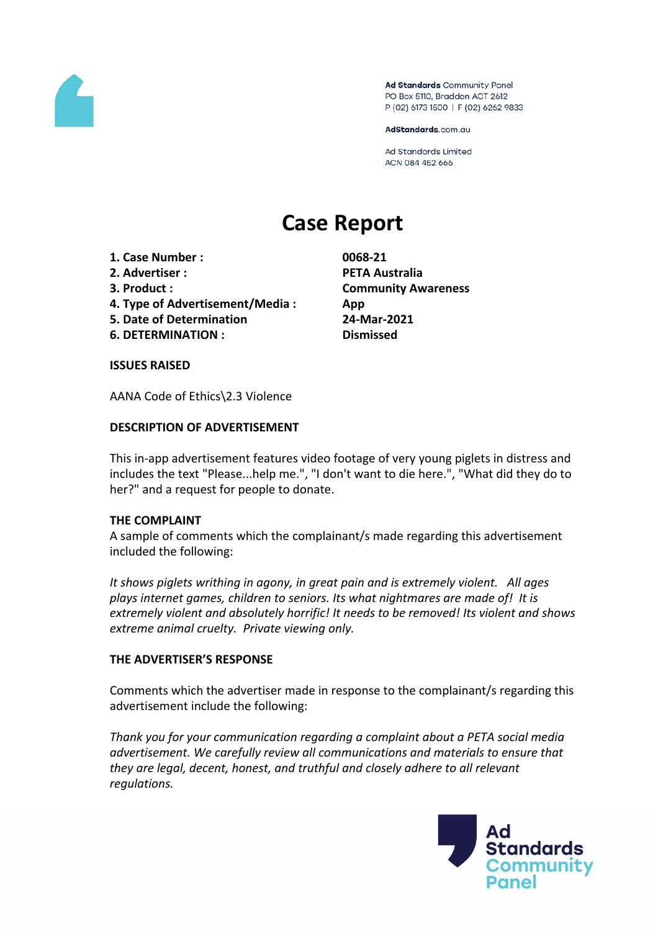

Ad Standards Community Panel PO Box 5110, Braddon ACT 2612 P (02) 6173 1500 | F (02) 6262 9833

AdStandards.com.au

**Ad Standards Limited** ACN 084 452 666

# **Case Report**

- **1. Case Number : 0068-21**
- **2. Advertiser : PETA Australia**
- 
- **4. Type of Advertisement/Media : App**
- **5. Date of Determination 24-Mar-2021**
- **6. DETERMINATION : Dismissed**

**3. Product : Community Awareness**

# **ISSUES RAISED**

AANA Code of Ethics\2.3 Violence

# **DESCRIPTION OF ADVERTISEMENT**

This in-app advertisement features video footage of very young piglets in distress and includes the text "Please...help me.", "I don't want to die here.", "What did they do to her?" and a request for people to donate.

# **THE COMPLAINT**

A sample of comments which the complainant/s made regarding this advertisement included the following:

*It shows piglets writhing in agony, in great pain and is extremely violent. All ages plays internet games, children to seniors. Its what nightmares are made of! It is extremely violent and absolutely horrific! It needs to be removed! Its violent and shows extreme animal cruelty. Private viewing only.*

# **THE ADVERTISER'S RESPONSE**

Comments which the advertiser made in response to the complainant/s regarding this advertisement include the following:

*Thank you for your communication regarding a complaint about a PETA social media advertisement. We carefully review all communications and materials to ensure that they are legal, decent, honest, and truthful and closely adhere to all relevant regulations.*

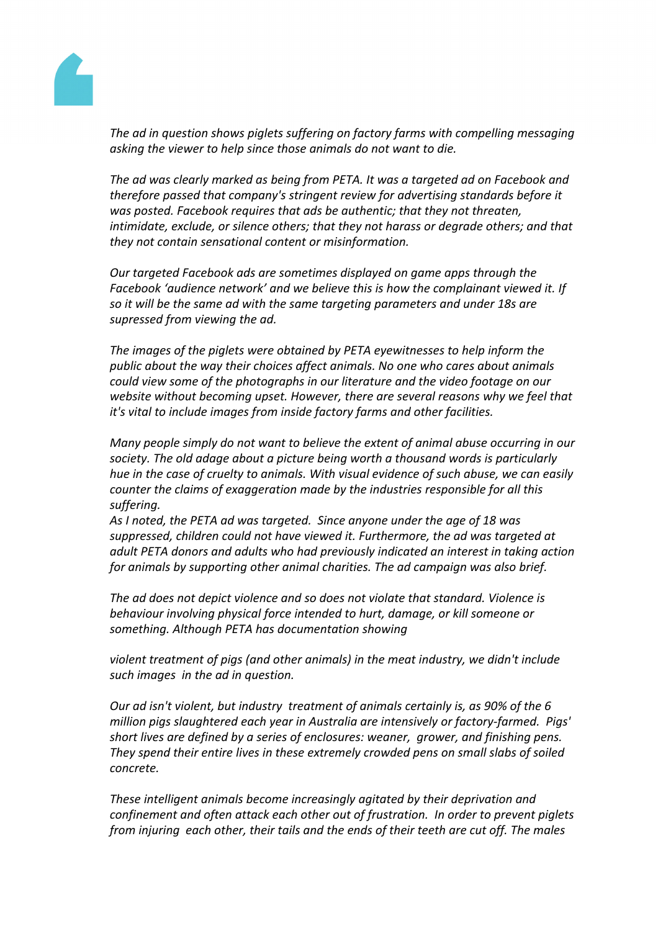

*The ad in question shows piglets suffering on factory farms with compelling messaging asking the viewer to help since those animals do not want to die.*

*The ad was clearly marked as being from PETA. It was a targeted ad on Facebook and therefore passed that company's stringent review for advertising standards before it was posted. Facebook requires that ads be authentic; that they not threaten, intimidate, exclude, or silence others; that they not harass or degrade others; and that they not contain sensational content or misinformation.*

*Our targeted Facebook ads are sometimes displayed on game apps through the Facebook 'audience network' and we believe this is how the complainant viewed it. If so it will be the same ad with the same targeting parameters and under 18s are supressed from viewing the ad.*

*The images of the piglets were obtained by PETA eyewitnesses to help inform the public about the way their choices affect animals. No one who cares about animals could view some of the photographs in our literature and the video footage on our website without becoming upset. However, there are several reasons why we feel that it's vital to include images from inside factory farms and other facilities.*

*Many people simply do not want to believe the extent of animal abuse occurring in our society. The old adage about a picture being worth a thousand words is particularly hue in the case of cruelty to animals. With visual evidence of such abuse, we can easily counter the claims of exaggeration made by the industries responsible for all this suffering.*

*As I noted, the PETA ad was targeted. Since anyone under the age of 18 was suppressed, children could not have viewed it. Furthermore, the ad was targeted at adult PETA donors and adults who had previously indicated an interest in taking action for animals by supporting other animal charities. The ad campaign was also brief.*

*The ad does not depict violence and so does not violate that standard. Violence is behaviour involving physical force intended to hurt, damage, or kill someone or something. Although PETA has documentation showing*

*violent treatment of pigs (and other animals) in the meat industry, we didn't include such images in the ad in question.*

*Our ad isn't violent, but industry treatment of animals certainly is, as 90% of the 6 million pigs slaughtered each year in Australia are intensively or factory-farmed. Pigs' short lives are defined by a series of enclosures: weaner, grower, and finishing pens. They spend their entire lives in these extremely crowded pens on small slabs of soiled concrete.*

*These intelligent animals become increasingly agitated by their deprivation and confinement and often attack each other out of frustration. In order to prevent piglets from injuring each other, their tails and the ends of their teeth are cut off. The males*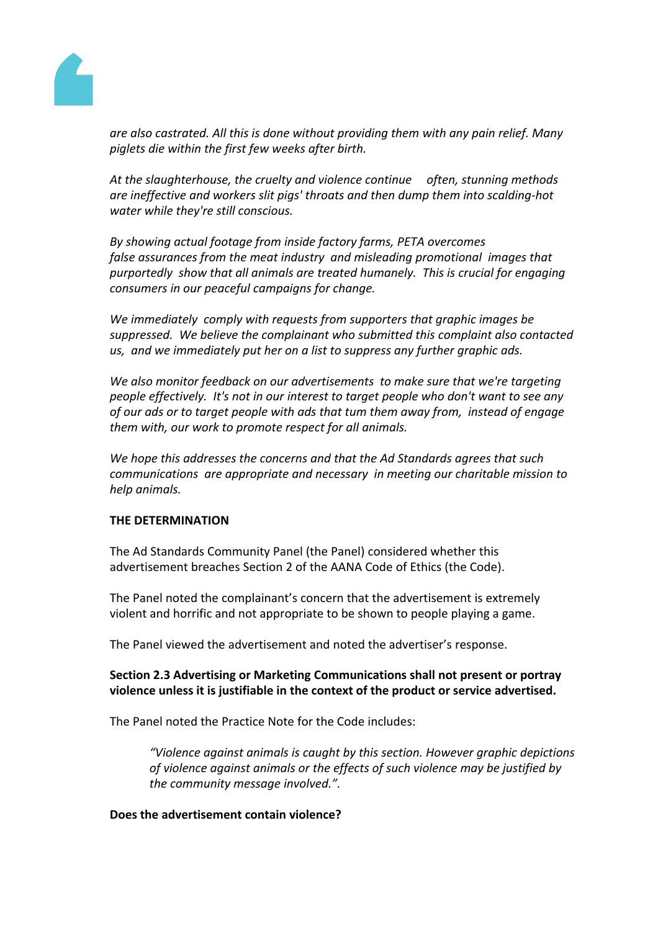

*are also castrated. All this is done without providing them with any pain relief. Many piglets die within the first few weeks after birth.*

*At the slaughterhouse, the cruelty and violence continue often, stunning methods are ineffective and workers slit pigs' throats and then dump them into scalding-hot water while they're still conscious.*

*By showing actual footage from inside factory farms, PETA overcomes false assurances from the meat industry and misleading promotional images that purportedly show that all animals are treated humanely. This is crucial for engaging consumers in our peaceful campaigns for change.*

*We immediately comply with requests from supporters that graphic images be suppressed. We believe the complainant who submitted this complaint also contacted us, and we immediately put her on a list to suppress any further graphic ads.*

*We also monitor feedback on our advertisements to make sure that we're targeting people effectively. It's not in our interest to target people who don't want to see any of our ads or to target people with ads that tum them away from, instead of engage them with, our work to promote respect for all animals.*

*We hope this addresses the concerns and that the Ad Standards agrees that such communications are appropriate and necessary in meeting our charitable mission to help animals.*

# **THE DETERMINATION**

The Ad Standards Community Panel (the Panel) considered whether this advertisement breaches Section 2 of the AANA Code of Ethics (the Code).

The Panel noted the complainant's concern that the advertisement is extremely violent and horrific and not appropriate to be shown to people playing a game.

The Panel viewed the advertisement and noted the advertiser's response.

# **Section 2.3 Advertising or Marketing Communications shall not present or portray violence unless it is justifiable in the context of the product or service advertised.**

The Panel noted the Practice Note for the Code includes:

*"Violence against animals is caught by this section. However graphic depictions of violence against animals or the effects of such violence may be justified by the community message involved.".*

# **Does the advertisement contain violence?**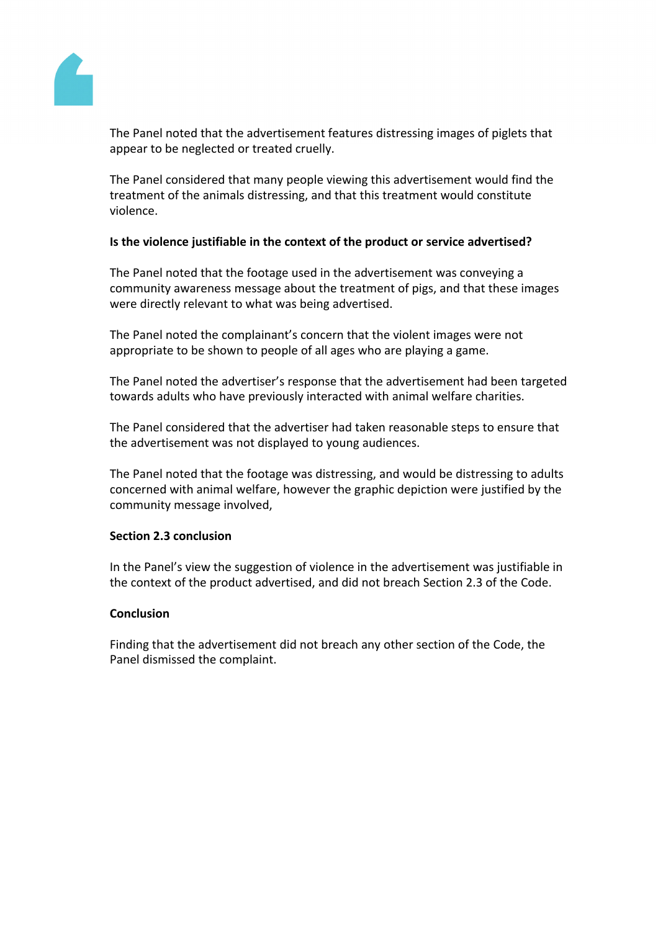

The Panel noted that the advertisement features distressing images of piglets that appear to be neglected or treated cruelly.

The Panel considered that many people viewing this advertisement would find the treatment of the animals distressing, and that this treatment would constitute violence.

# **Is the violence justifiable in the context of the product or service advertised?**

The Panel noted that the footage used in the advertisement was conveying a community awareness message about the treatment of pigs, and that these images were directly relevant to what was being advertised.

The Panel noted the complainant's concern that the violent images were not appropriate to be shown to people of all ages who are playing a game.

The Panel noted the advertiser's response that the advertisement had been targeted towards adults who have previously interacted with animal welfare charities.

The Panel considered that the advertiser had taken reasonable steps to ensure that the advertisement was not displayed to young audiences.

The Panel noted that the footage was distressing, and would be distressing to adults concerned with animal welfare, however the graphic depiction were justified by the community message involved,

# **Section 2.3 conclusion**

In the Panel's view the suggestion of violence in the advertisement was justifiable in the context of the product advertised, and did not breach Section 2.3 of the Code.

# **Conclusion**

Finding that the advertisement did not breach any other section of the Code, the Panel dismissed the complaint.